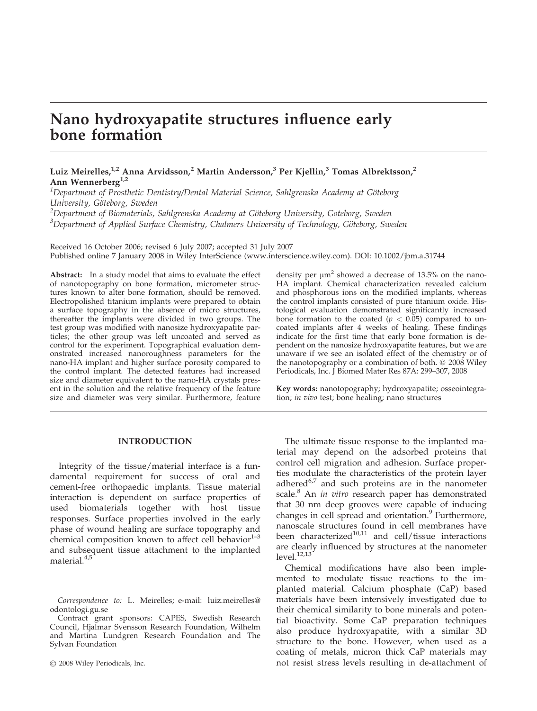# Nano hydroxyapatite structures influence early bone formation

Luiz Meirelles,<sup>1,2</sup> Anna Arvidsson,<sup>2</sup> Martin Andersson,<sup>3</sup> Per Kjellin,<sup>3</sup> Tomas Albrektsson,<sup>2</sup> Ann Wennerberg $1,2$ 

 $^1$ Department of Prosthetic Dentistry/Dental Material Science, Sahlgrenska Academy at Göteborg University, Göteborg, Sweden

 $^2$ Department of Biomaterials, Sahlgrenska Academy at Göteborg University, Goteborg, Sweden  $3$ Department of Applied Surface Chemistry, Chalmers University of Technology, Göteborg, Sweden

Received 16 October 2006; revised 6 July 2007; accepted 31 July 2007 Published online 7 January 2008 in Wiley InterScience (www.interscience.wiley.com). DOI: 10.1002/jbm.a.31744

Abstract: In a study model that aims to evaluate the effect of nanotopography on bone formation, micrometer structures known to alter bone formation, should be removed. Electropolished titanium implants were prepared to obtain a surface topography in the absence of micro structures, thereafter the implants were divided in two groups. The test group was modified with nanosize hydroxyapatite particles; the other group was left uncoated and served as control for the experiment. Topographical evaluation demonstrated increased nanoroughness parameters for the nano-HA implant and higher surface porosity compared to the control implant. The detected features had increased size and diameter equivalent to the nano-HA crystals present in the solution and the relative frequency of the feature size and diameter was very similar. Furthermore, feature

## INTRODUCTION

Integrity of the tissue/material interface is a fundamental requirement for success of oral and cement-free orthopaedic implants. Tissue material interaction is dependent on surface properties of used biomaterials together with host tissue responses. Surface properties involved in the early phase of wound healing are surface topography and chemical composition known to affect cell behavior $1-3$ and subsequent tissue attachment to the implanted material.<sup>4,5</sup>

Contract grant sponsors: CAPES, Swedish Research Council, Hjalmar Svensson Research Foundation, Wilhelm and Martina Lundgren Research Foundation and The Sylvan Foundation

2008 Wiley Periodicals, Inc.

density per  $\mu$ m<sup>2</sup> showed a decrease of 13.5% on the nano-HA implant. Chemical characterization revealed calcium and phosphorous ions on the modified implants, whereas the control implants consisted of pure titanium oxide. Histological evaluation demonstrated significantly increased bone formation to the coated ( $p < 0.05$ ) compared to uncoated implants after 4 weeks of healing. These findings indicate for the first time that early bone formation is dependent on the nanosize hydroxyapatite features, but we are unaware if we see an isolated effect of the chemistry or of the nanotopography or a combination of both.  $\odot$  2008 Wiley Periodicals, Inc. J Biomed Mater Res 87A: 299–307, 2008

Key words: nanotopography; hydroxyapatite; osseointegration; in vivo test; bone healing; nano structures

The ultimate tissue response to the implanted material may depend on the adsorbed proteins that control cell migration and adhesion. Surface properties modulate the characteristics of the protein layer adhered $6.7$  and such proteins are in the nanometer scale.<sup>8</sup> An *in vitro* research paper has demonstrated that 30 nm deep grooves were capable of inducing changes in cell spread and orientation.<sup>9</sup> Furthermore, nanoscale structures found in cell membranes have been characterized $10,11$  and cell/tissue interactions are clearly influenced by structures at the nanometer  $level.<sup>12,13</sup>$ 

Chemical modifications have also been implemented to modulate tissue reactions to the implanted material. Calcium phosphate (CaP) based materials have been intensively investigated due to their chemical similarity to bone minerals and potential bioactivity. Some CaP preparation techniques also produce hydroxyapatite, with a similar 3D structure to the bone. However, when used as a coating of metals, micron thick CaP materials may not resist stress levels resulting in de-attachment of

Correspondence to: L. Meirelles; e-mail: luiz.meirelles@ odontologi.gu.se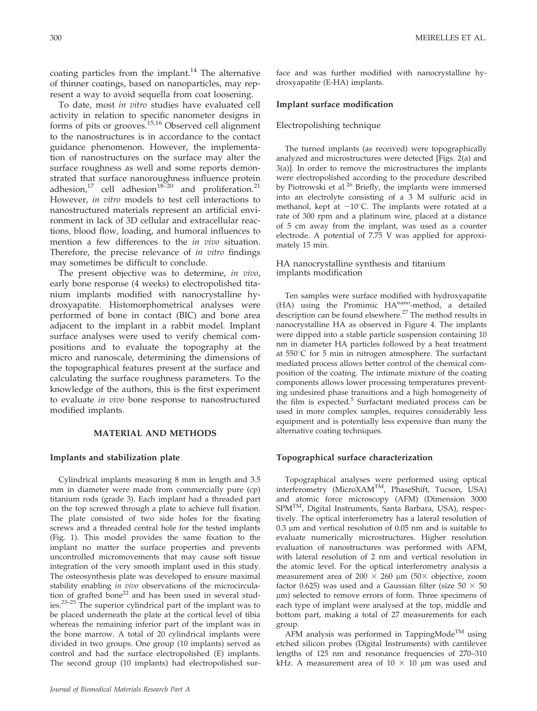coating particles from the implant.<sup>14</sup> The alternative of thinner coatings, based on nanoparticles, may represent a way to avoid sequella from coat loosening.

To date, most in vitro studies have evaluated cell activity in relation to specific nanometer designs in forms of pits or grooves.<sup>15,16</sup> Observed cell alignment to the nanostructures is in accordance to the contact guidance phenomenon. However, the implementation of nanostructures on the surface may alter the surface roughness as well and some reports demonstrated that surface nanoroughness influence protein adhesion,<sup>17</sup> cell adhesion<sup>18–20</sup> and proliferation.<sup>21</sup> However, in vitro models to test cell interactions to nanostructured materials represent an artificial environment in lack of 3D cellular and extracellular reactions, blood flow, loading, and humoral influences to mention a few differences to the *in vivo* situation. Therefore, the precise relevance of *in vitro* findings may sometimes be difficult to conclude.

The present objective was to determine, in vivo, early bone response (4 weeks) to electropolished titanium implants modified with nanocrystalline hydroxyapatite. Histomorphometrical analyses were performed of bone in contact (BIC) and bone area adjacent to the implant in a rabbit model. Implant surface analyses were used to verify chemical compositions and to evaluate the topography at the micro and nanoscale, determining the dimensions of the topographical features present at the surface and calculating the surface roughness parameters. To the knowledge of the authors, this is the first experiment to evaluate *in vivo* bone response to nanostructured modified implants.

## MATERIAL AND METHODS

#### Implants and stabilization plate

Cylindrical implants measuring 8 mm in length and 3.5 mm in diameter were made from commercially pure (cp) titanium rods (grade 3). Each implant had a threaded part on the top screwed through a plate to achieve full fixation. The plate consisted of two side holes for the fixating screws and a threaded central hole for the tested implants (Fig. 1). This model provides the same fixation to the implant no matter the surface properties and prevents uncontrolled micromovements that may cause soft tissue integration of the very smooth implant used in this study. The osteosynthesis plate was developed to ensure maximal stability enabling in vivo observations of the microcirculation of grafted bone<sup>22</sup> and has been used in several studies.23–25 The superior cylindrical part of the implant was to be placed underneath the plate at the cortical level of tibia whereas the remaining inferior part of the implant was in the bone marrow. A total of 20 cylindrical implants were divided in two groups. One group (10 implants) served as control and had the surface electropolished (E) implants. The second group (10 implants) had electropolished surface and was further modified with nanocrystalline hydroxyapatite (E-HA) implants.

## Implant surface modification

# Electropolishing technique

The turned implants (as received) were topographically analyzed and microstructures were detected [Figs. 2(a) and 3(a)]. In order to remove the microstructures the implants were electropolished according to the procedure described by Piotrowski et al.<sup>26</sup> Briefly, the implants were immersed into an electrolyte consisting of a 3 M sulfuric acid in methanol, kept at  $-10^{\circ}$ C. The implants were rotated at a rate of 300 rpm and a platinum wire, placed at a distance of 5 cm away from the implant, was used as a counter electrode. A potential of 7.75 V was applied for approximately 15 min.

#### HA nanocrystalline synthesis and titanium implants modification

Ten samples were surface modified with hydroxyapatite (HA) using the Promimic HA<sup>nano</sup>-method, a detailed description can be found elsewhere.27 The method results in nanocrystalline HA as observed in Figure 4. The implants were dipped into a stable particle suspension containing 10 nm in diameter HA particles followed by a heat treatment at  $550^{\circ}$ C for 5 min in nitrogen atmosphere. The surfactant mediated process allows better control of the chemical composition of the coating. The intimate mixture of the coating components allows lower processing temperatures preventing undesired phase transitions and a high homogeneity of the film is expected.<sup>5</sup> Surfactant mediated process can be used in more complex samples, requires considerably less equipment and is potentially less expensive than many the alternative coating techniques.

#### Topographical surface characterization

Topographical analyses were performed using optical interferometry (MicroXAMTM, PhaseShift, Tucson, USA) and atomic force microscopy (AFM) (Dimension 3000 SPMTM, Digital Instruments, Santa Barbara, USA), respectively. The optical interferometry has a lateral resolution of  $0.3 \mu$ m and vertical resolution of  $0.05 \mu$ m and is suitable to evaluate numerically microstructures. Higher resolution evaluation of nanostructures was performed with AFM, with lateral resolution of 2 nm and vertical resolution in the atomic level. For the optical interferometry analysis a measurement area of 200  $\times$  260 µm (50 $\times$  objective, zoom factor 0.625) was used and a Gaussian filter (size  $50 \times 50$  $\mu$ m) selected to remove errors of form. Three specimens of each type of implant were analysed at the top, middle and bottom part, making a total of 27 measurements for each group.

AFM analysis was performed in TappingMode<sup>TM</sup> using etched silicon probes (Digital Instruments) with cantilever lengths of 125 nm and resonance frequencies of 270–310 kHz. A measurement area of  $10 \times 10$  µm was used and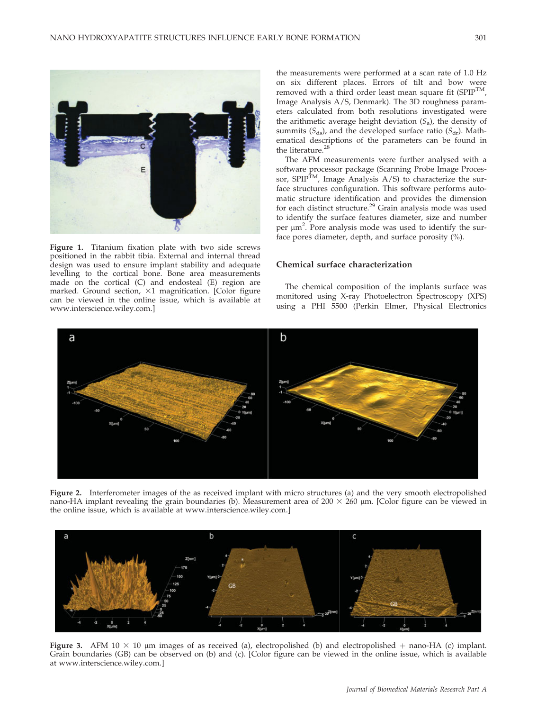

Figure 1. Titanium fixation plate with two side screws positioned in the rabbit tibia. External and internal thread design was used to ensure implant stability and adequate levelling to the cortical bone. Bone area measurements made on the cortical (C) and endosteal (E) region are marked. Ground section,  $\times 1$  magnification. [Color figure can be viewed in the online issue, which is available at www.interscience.wiley.com.]

the measurements were performed at a scan rate of 1.0 Hz on six different places. Errors of tilt and bow were removed with a third order least mean square fit  $(SPIP^{TM})$ , Image Analysis A/S, Denmark). The 3D roughness parameters calculated from both resolutions investigated were the arithmetic average height deviation  $(S_a)$ , the density of summits ( $S_{ds}$ ), and the developed surface ratio ( $S_{dr}$ ). Mathematical descriptions of the parameters can be found in the literature.<sup>28</sup>

The AFM measurements were further analysed with a software processor package (Scanning Probe Image Processor, SPIP<sup>TM</sup>, Image Analysis  $A/S$ ) to characterize the surface structures configuration. This software performs automatic structure identification and provides the dimension for each distinct structure.<sup>29</sup> Grain analysis mode was used to identify the surface features diameter, size and number per  $\mu$ m<sup>2</sup>. Pore analysis mode was used to identify the surface pores diameter, depth, and surface porosity (%).

# Chemical surface characterization

The chemical composition of the implants surface was monitored using X-ray Photoelectron Spectroscopy (XPS) using a PHI 5500 (Perkin Elmer, Physical Electronics



Figure 2. Interferometer images of the as received implant with micro structures (a) and the very smooth electropolished nano-HA implant revealing the grain boundaries (b). Measurement area of 200  $\times$  260 µm. [Color figure can be viewed in the online issue, which is available at www.interscience.wiley.com.]



Figure 3. AFM 10  $\times$  10  $\mu$ m images of as received (a), electropolished (b) and electropolished + nano-HA (c) implant. Grain boundaries (GB) can be observed on (b) and (c). [Color figure can be viewed in the online issue, which is available at www.interscience.wiley.com.]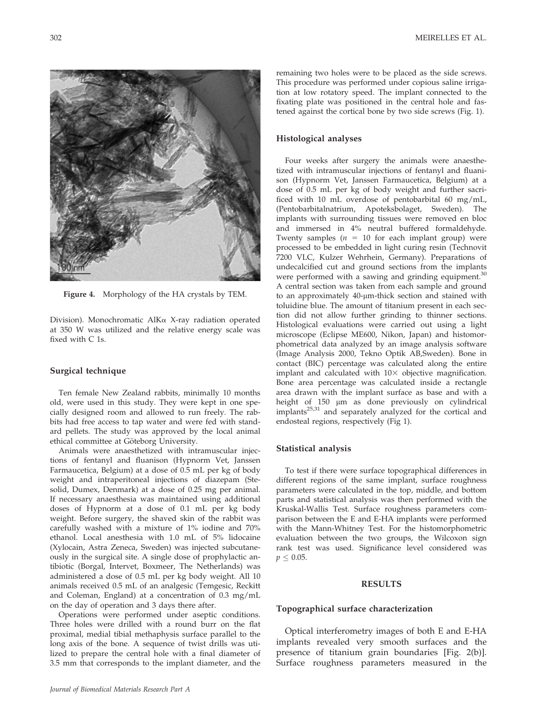Figure 4. Morphology of the HA crystals by TEM.

Division). Monochromatic AlKa X-ray radiation operated at 350 W was utilized and the relative energy scale was fixed with C 1s.

## Surgical technique

Ten female New Zealand rabbits, minimally 10 months old, were used in this study. They were kept in one specially designed room and allowed to run freely. The rabbits had free access to tap water and were fed with standard pellets. The study was approved by the local animal ethical committee at Göteborg University.

Animals were anaesthetized with intramuscular injections of fentanyl and fluanison (Hypnorm Vet, Janssen Farmaucetica, Belgium) at a dose of 0.5 mL per kg of body weight and intraperitoneal injections of diazepam (Stesolid, Dumex, Denmark) at a dose of 0.25 mg per animal. If necessary anaesthesia was maintained using additional doses of Hypnorm at a dose of 0.1 mL per kg body weight. Before surgery, the shaved skin of the rabbit was carefully washed with a mixture of 1% iodine and 70% ethanol. Local anesthesia with 1.0 mL of 5% lidocaine (Xylocain, Astra Zeneca, Sweden) was injected subcutaneously in the surgical site. A single dose of prophylactic antibiotic (Borgal, Intervet, Boxmeer, The Netherlands) was administered a dose of 0.5 mL per kg body weight. All 10 animals received 0.5 mL of an analgesic (Temgesic, Reckitt and Coleman, England) at a concentration of 0.3 mg/mL on the day of operation and 3 days there after.

Operations were performed under aseptic conditions. Three holes were drilled with a round burr on the flat proximal, medial tibial methaphysis surface parallel to the long axis of the bone. A sequence of twist drills was utilized to prepare the central hole with a final diameter of 3.5 mm that corresponds to the implant diameter, and the

remaining two holes were to be placed as the side screws. This procedure was performed under copious saline irrigation at low rotatory speed. The implant connected to the fixating plate was positioned in the central hole and fastened against the cortical bone by two side screws (Fig. 1).

# Histological analyses

Four weeks after surgery the animals were anaesthetized with intramuscular injections of fentanyl and fluanison (Hypnorm Vet, Janssen Farmaucetica, Belgium) at a dose of 0.5 mL per kg of body weight and further sacrificed with 10 mL overdose of pentobarbital 60 mg/mL, (Pentobarbitalnatrium, Apoteksbolaget, Sweden). The implants with surrounding tissues were removed en bloc and immersed in 4% neutral buffered formaldehyde. Twenty samples ( $n = 10$  for each implant group) were processed to be embedded in light curing resin (Technovit 7200 VLC, Kulzer Wehrhein, Germany). Preparations of undecalcified cut and ground sections from the implants were performed with a sawing and grinding equipment.<sup>30</sup> A central section was taken from each sample and ground to an approximately 40-µm-thick section and stained with toluidine blue. The amount of titanium present in each section did not allow further grinding to thinner sections. Histological evaluations were carried out using a light microscope (Eclipse ME600, Nikon, Japan) and histomorphometrical data analyzed by an image analysis software (Image Analysis 2000, Tekno Optik AB,Sweden). Bone in contact (BIC) percentage was calculated along the entire implant and calculated with  $10\times$  objective magnification. Bone area percentage was calculated inside a rectangle area drawn with the implant surface as base and with a height of 150 µm as done previously on cylindrical implants $25,31$  and separately analyzed for the cortical and endosteal regions, respectively (Fig 1).

## Statistical analysis

To test if there were surface topographical differences in different regions of the same implant, surface roughness parameters were calculated in the top, middle, and bottom parts and statistical analysis was then performed with the Kruskal-Wallis Test. Surface roughness parameters comparison between the E and E-HA implants were performed with the Mann-Whitney Test. For the histomorphometric evaluation between the two groups, the Wilcoxon sign rank test was used. Significance level considered was  $p \leq 0.05$ .

#### RESULTS

# Topographical surface characterization

Optical interferometry images of both E and E-HA implants revealed very smooth surfaces and the presence of titanium grain boundaries [Fig. 2(b)]. Surface roughness parameters measured in the



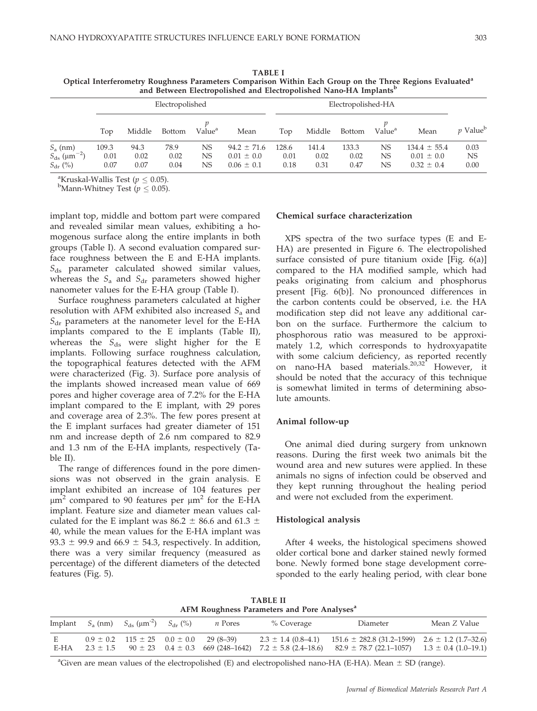| and Between Electropolished and Electropolished Nano-HA Implants            |                       |                      |                      |                    |                                                     |                       |                       |                       |                    |                                                      |                        |
|-----------------------------------------------------------------------------|-----------------------|----------------------|----------------------|--------------------|-----------------------------------------------------|-----------------------|-----------------------|-----------------------|--------------------|------------------------------------------------------|------------------------|
|                                                                             | Electropolished       |                      |                      |                    |                                                     | Electropolished-HA    |                       |                       |                    |                                                      |                        |
|                                                                             | Top                   | Middle               | <b>Bottom</b>        | Value <sup>a</sup> | Mean                                                | Top                   | Middle                | <b>Bottom</b>         | Value <sup>a</sup> | Mean                                                 | $p$ Value <sup>b</sup> |
| $S_a$ (nm)<br>$S_{\rm ds}$ ( $\mu$ m <sup>-2</sup> )<br>$S_{\text{dr}}$ (%) | 109.3<br>0.01<br>0.07 | 94.3<br>0.02<br>0.07 | 78.9<br>0.02<br>0.04 | NS<br>NS<br>NS     | $94.2 \pm 71.6$<br>$0.01 \pm 0.0$<br>$0.06 \pm 0.1$ | 128.6<br>0.01<br>0.18 | 141.4<br>0.02<br>0.31 | 133.3<br>0.02<br>0.47 | NS<br>NS<br>NS     | $134.4 \pm 55.4$<br>$0.01 \pm 0.0$<br>$0.32 \pm 0.4$ | 0.03<br>NS<br>0.00     |

TABLE I Optical Interferometry Roughness Parameters Comparison Within Each Group on the Three Regions Evaluated<sup>a</sup> and Between Electropolished and Electropolished Nano-HA Implants<sup>b</sup>

<sup>a</sup>Kruskal-Wallis Test ( $p \leq 0.05$ ).

<sup>b</sup>Mann-Whitney Test ( $p \leq 0.05$ ).

implant top, middle and bottom part were compared and revealed similar mean values, exhibiting a homogenous surface along the entire implants in both groups (Table I). A second evaluation compared surface roughness between the E and E-HA implants.  $S_{ds}$  parameter calculated showed similar values, whereas the  $S_a$  and  $S_{dr}$  parameters showed higher nanometer values for the E-HA group (Table I).

Surface roughness parameters calculated at higher resolution with AFM exhibited also increased  $S_a$  and  $S_{\text{dr}}$  parameters at the nanometer level for the E-HA implants compared to the E implants (Table II), whereas the  $S_{ds}$  were slight higher for the E implants. Following surface roughness calculation, the topographical features detected with the AFM were characterized (Fig. 3). Surface pore analysis of the implants showed increased mean value of 669 pores and higher coverage area of 7.2% for the E-HA implant compared to the E implant, with 29 pores and coverage area of 2.3%. The few pores present at the E implant surfaces had greater diameter of 151 nm and increase depth of 2.6 nm compared to 82.9 and 1.3 nm of the E-HA implants, respectively (Table II).

The range of differences found in the pore dimensions was not observed in the grain analysis. E implant exhibited an increase of 104 features per  $\mu$ m<sup>2</sup> compared to 90 features per  $\mu$ m<sup>2</sup> for the E-HA implant. Feature size and diameter mean values calculated for the E implant was 86.2  $\pm$  86.6 and 61.3  $\pm$ 40, while the mean values for the E-HA implant was 93.3  $\pm$  99.9 and 66.9  $\pm$  54.3, respectively. In addition, there was a very similar frequency (measured as percentage) of the different diameters of the detected features (Fig. 5).

# Chemical surface characterization

XPS spectra of the two surface types (E and E-HA) are presented in Figure 6. The electropolished surface consisted of pure titanium oxide [Fig. 6(a)] compared to the HA modified sample, which had peaks originating from calcium and phosphorus present [Fig. 6(b)]. No pronounced differences in the carbon contents could be observed, i.e. the HA modification step did not leave any additional carbon on the surface. Furthermore the calcium to phosphorous ratio was measured to be approximately 1.2, which corresponds to hydroxyapatite with some calcium deficiency, as reported recently on nano-HA based materials.<sup>20,32</sup> However, it should be noted that the accuracy of this technique is somewhat limited in terms of determining absolute amounts.

## Animal follow-up

One animal died during surgery from unknown reasons. During the first week two animals bit the wound area and new sutures were applied. In these animals no signs of infection could be observed and they kept running throughout the healing period and were not excluded from the experiment.

#### Histological analysis

After 4 weeks, the histological specimens showed older cortical bone and darker stained newly formed bone. Newly formed bone stage development corresponded to the early healing period, with clear bone

TABLE II AFM Roughness Parameters and Pore Analyses<sup>a</sup>

|           | Implant $S_a$ (nm) $S_{ds}$ ( $\mu$ m <sup>-2</sup> ) $S_{dr}$ (%) | <i>n</i> Pores                                     | % Coverage | Diameter                                                                                                                                                                                                               | Mean Z Value |
|-----------|--------------------------------------------------------------------|----------------------------------------------------|------------|------------------------------------------------------------------------------------------------------------------------------------------------------------------------------------------------------------------------|--------------|
| E<br>E-HA |                                                                    | $0.9 \pm 0.2$ $115 \pm 25$ $0.0 \pm 0.0$ 29 (8-39) |            | $2.3 \pm 1.4$ (0.8–4.1) $151.6 \pm 282.8$ (31.2–1599) $2.6 \pm 1.2$ (1.7–32.6)<br>$2.3 \pm 1.5$ 90 $\pm 23$ 0.4 $\pm$ 0.3 669 (248-1642) 7.2 $\pm$ 5.8 (2.4-18.6) 82.9 $\pm$ 78.7 (22.1-1057) 1.3 $\pm$ 0.4 (1.0-19.1) |              |

<sup>a</sup>Given are mean values of the electropolished (E) and electropolished nano-HA (E-HA). Mean  $\pm$  SD (range).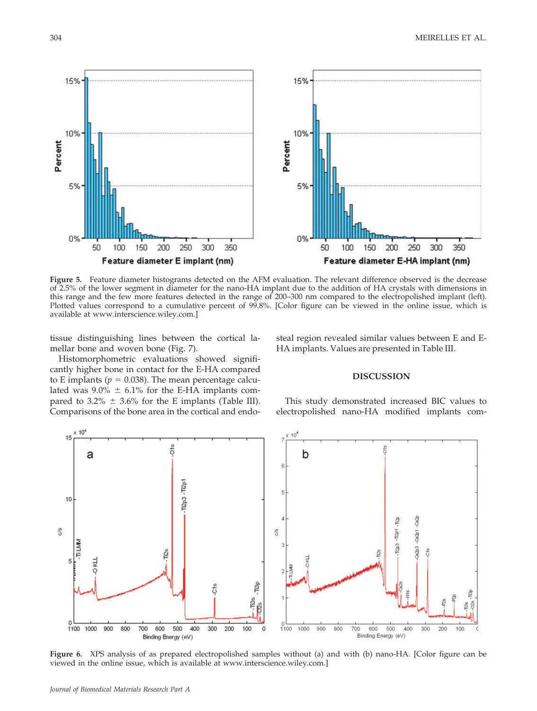

Figure 5. Feature diameter histograms detected on the AFM evaluation. The relevant difference observed is the decrease of 2.5% of the lower segment in diameter for the nano-HA implant due to the addition of HA crystals with dimensions in this range and the few more features detected in the range of 200–300 nm compared to the electropolished implant (left). Plotted values correspond to a cumulative percent of 99.8%. [Color figure can be viewed in the online issue, which is available at www.interscience.wiley.com.]

tissue distinguishing lines between the cortical lamellar bone and woven bone (Fig. 7).

Histomorphometric evaluations showed significantly higher bone in contact for the E-HA compared to E implants ( $p = 0.038$ ). The mean percentage calculated was  $9.0\% \pm 6.1\%$  for the E-HA implants compared to 3.2%  $\pm$  3.6% for the E implants (Table III). Comparisons of the bone area in the cortical and endosteal region revealed similar values between E and E-HA implants. Values are presented in Table III.

# DISCUSSION

This study demonstrated increased BIC values to electropolished nano-HA modified implants com-



Figure 6. XPS analysis of as prepared electropolished samples without (a) and with (b) nano-HA. [Color figure can be viewed in the online issue, which is available at www.interscience.wiley.com.]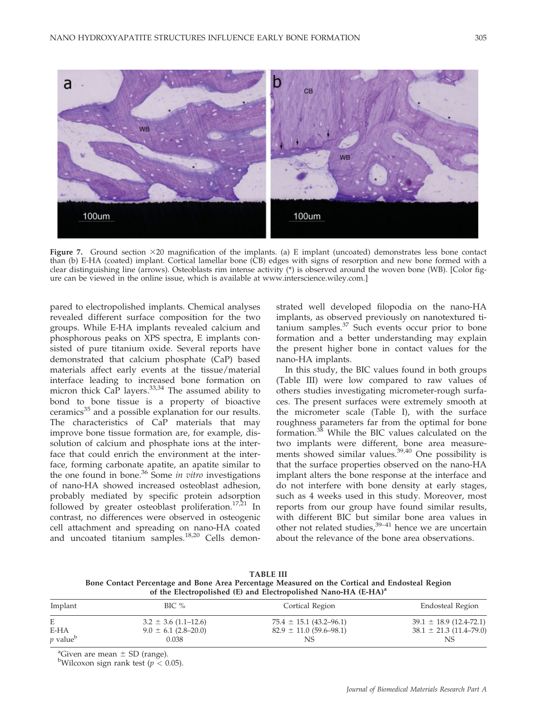

Figure 7. Ground section  $\times 20$  magnification of the implants. (a) E implant (uncoated) demonstrates less bone contact than (b) E-HA (coated) implant. Cortical lamellar bone (CB) edges with signs of resorption and new bone formed with a clear distinguishing line (arrows). Osteoblasts rim intense activity (\*) is observed around the woven bone (WB). [Color figure can be viewed in the online issue, which is available at www.interscience.wiley.com.]

pared to electropolished implants. Chemical analyses revealed different surface composition for the two groups. While E-HA implants revealed calcium and phosphorous peaks on XPS spectra, E implants consisted of pure titanium oxide. Several reports have demonstrated that calcium phosphate (CaP) based materials affect early events at the tissue/material interface leading to increased bone formation on micron thick CaP layers.<sup>33,34</sup> The assumed ability to bond to bone tissue is a property of bioactive ceramics<sup>35</sup> and a possible explanation for our results. The characteristics of CaP materials that may improve bone tissue formation are, for example, dissolution of calcium and phosphate ions at the interface that could enrich the environment at the interface, forming carbonate apatite, an apatite similar to the one found in bone.<sup>36</sup> Some in vitro investigations of nano-HA showed increased osteoblast adhesion, probably mediated by specific protein adsorption followed by greater osteoblast proliferation.<sup>17,21</sup> In contrast, no differences were observed in osteogenic cell attachment and spreading on nano-HA coated and uncoated titanium samples.<sup>18,20</sup> Cells demonstrated well developed filopodia on the nano-HA implants, as observed previously on nanotextured titanium samples.37 Such events occur prior to bone formation and a better understanding may explain the present higher bone in contact values for the nano-HA implants.

In this study, the BIC values found in both groups (Table III) were low compared to raw values of others studies investigating micrometer-rough surfaces. The present surfaces were extremely smooth at the micrometer scale (Table I), with the surface roughness parameters far from the optimal for bone formation.<sup>38</sup> While the BIC values calculated on the two implants were different, bone area measurements showed similar values. $39,40$  One possibility is that the surface properties observed on the nano-HA implant alters the bone response at the interface and do not interfere with bone density at early stages, such as 4 weeks used in this study. Moreover, most reports from our group have found similar results, with different BIC but similar bone area values in other not related studies, $39-41$  hence we are uncertain about the relevance of the bone area observations.

TABLE III Bone Contact Percentage and Bone Area Percentage Measured on the Cortical and Endosteal Region of the Electropolished (E) and Electropolished Nano-HA (E-HA)<sup>a</sup>

| Implant                     | BIC %                    | Cortical Region                 | Endosteal Region                |  |
|-----------------------------|--------------------------|---------------------------------|---------------------------------|--|
| Ε                           | $3.2 \pm 3.6$ (1.1–12.6) | $75.4 \pm 15.1 (43.2 - 96.1)$   | $39.1 \pm 18.9$ (12.4-72.1)     |  |
| E-HA                        | $9.0 \pm 6.1$ (2.8–20.0) | $82.9 \pm 11.0 \ (59.6 - 98.1)$ | $38.1 \pm 21.3 \ (11.4 - 79.0)$ |  |
| <i>p</i> value <sup>b</sup> | 0.038                    | NS                              | NS                              |  |

<sup>a</sup>Given are mean  $\pm$  SD (range).

<sup>b</sup>Wilcoxon sign rank test ( $p < 0.05$ ).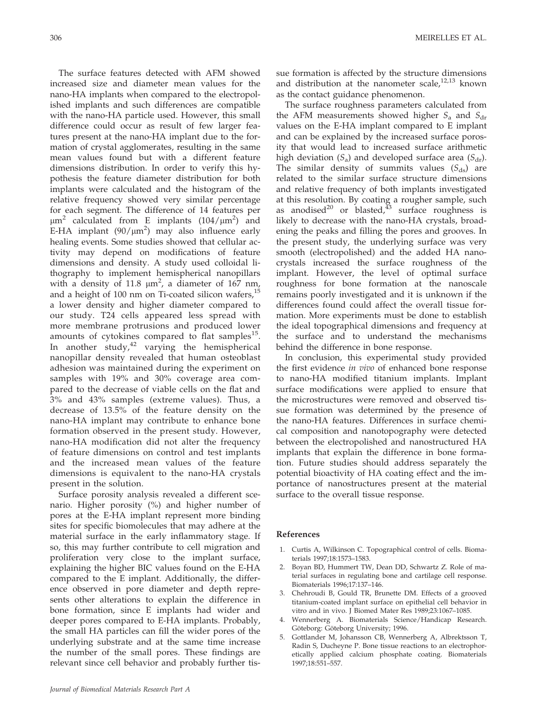The surface features detected with AFM showed increased size and diameter mean values for the nano-HA implants when compared to the electropolished implants and such differences are compatible with the nano-HA particle used. However, this small difference could occur as result of few larger features present at the nano-HA implant due to the formation of crystal agglomerates, resulting in the same mean values found but with a different feature dimensions distribution. In order to verify this hypothesis the feature diameter distribution for both implants were calculated and the histogram of the relative frequency showed very similar percentage for each segment. The difference of 14 features per  $\mu$ m<sup>2</sup> calculated from E implants (104/ $\mu$ m<sup>2</sup>) and E-HA implant (90/ $\mu$ m<sup>2</sup>) may also influence early healing events. Some studies showed that cellular activity may depend on modifications of feature dimensions and density. A study used colloidal lithography to implement hemispherical nanopillars with a density of 11.8  $\mu$ m<sup>2</sup>, a diameter of 167 nm, and a height of 100 nm on Ti-coated silicon wafers, $^{15}$ a lower density and higher diameter compared to our study. T24 cells appeared less spread with more membrane protrusions and produced lower amounts of cytokines compared to flat samples<sup>15</sup>. In another study, $42$  varying the hemispherical nanopillar density revealed that human osteoblast adhesion was maintained during the experiment on samples with 19% and 30% coverage area compared to the decrease of viable cells on the flat and 3% and 43% samples (extreme values). Thus, a decrease of 13.5% of the feature density on the nano-HA implant may contribute to enhance bone formation observed in the present study. However, nano-HA modification did not alter the frequency of feature dimensions on control and test implants and the increased mean values of the feature dimensions is equivalent to the nano-HA crystals present in the solution.

Surface porosity analysis revealed a different scenario. Higher porosity (%) and higher number of pores at the E-HA implant represent more binding sites for specific biomolecules that may adhere at the material surface in the early inflammatory stage. If so, this may further contribute to cell migration and proliferation very close to the implant surface, explaining the higher BIC values found on the E-HA compared to the E implant. Additionally, the difference observed in pore diameter and depth represents other alterations to explain the difference in bone formation, since E implants had wider and deeper pores compared to E-HA implants. Probably, the small HA particles can fill the wider pores of the underlying substrate and at the same time increase the number of the small pores. These findings are relevant since cell behavior and probably further tissue formation is affected by the structure dimensions and distribution at the nanometer scale, $12,13$  known as the contact guidance phenomenon.

The surface roughness parameters calculated from the AFM measurements showed higher  $S_a$  and  $S_{dr}$ values on the E-HA implant compared to E implant and can be explained by the increased surface porosity that would lead to increased surface arithmetic high deviation  $(S_a)$  and developed surface area  $(S_{dr})$ . The similar density of summits values  $(S_{ds})$  are related to the similar surface structure dimensions and relative frequency of both implants investigated at this resolution. By coating a rougher sample, such as anodised<sup>20</sup> or blasted,<sup>43</sup> surface roughness is likely to decrease with the nano-HA crystals, broadening the peaks and filling the pores and grooves. In the present study, the underlying surface was very smooth (electropolished) and the added HA nanocrystals increased the surface roughness of the implant. However, the level of optimal surface roughness for bone formation at the nanoscale remains poorly investigated and it is unknown if the differences found could affect the overall tissue formation. More experiments must be done to establish the ideal topographical dimensions and frequency at the surface and to understand the mechanisms behind the difference in bone response.

In conclusion, this experimental study provided the first evidence in vivo of enhanced bone response to nano-HA modified titanium implants. Implant surface modifications were applied to ensure that the microstructures were removed and observed tissue formation was determined by the presence of the nano-HA features. Differences in surface chemical composition and nanotopography were detected between the electropolished and nanostructured HA implants that explain the difference in bone formation. Future studies should address separately the potential bioactivity of HA coating effect and the importance of nanostructures present at the material surface to the overall tissue response.

#### References

- 1. Curtis A, Wilkinson C. Topographical control of cells. Biomaterials 1997;18:1573–1583.
- 2. Boyan BD, Hummert TW, Dean DD, Schwartz Z. Role of material surfaces in regulating bone and cartilage cell response. Biomaterials 1996;17:137–146.
- 3. Chehroudi B, Gould TR, Brunette DM. Effects of a grooved titanium-coated implant surface on epithelial cell behavior in vitro and in vivo. J Biomed Mater Res 1989;23:1067–1085.
- 4. Wennerberg A. Biomaterials Science/Handicap Research. Göteborg: Göteborg University; 1996.
- 5. Gottlander M, Johansson CB, Wennerberg A, Albrektsson T, Radin S, Ducheyne P. Bone tissue reactions to an electrophoretically applied calcium phosphate coating. Biomaterials 1997;18:551–557.